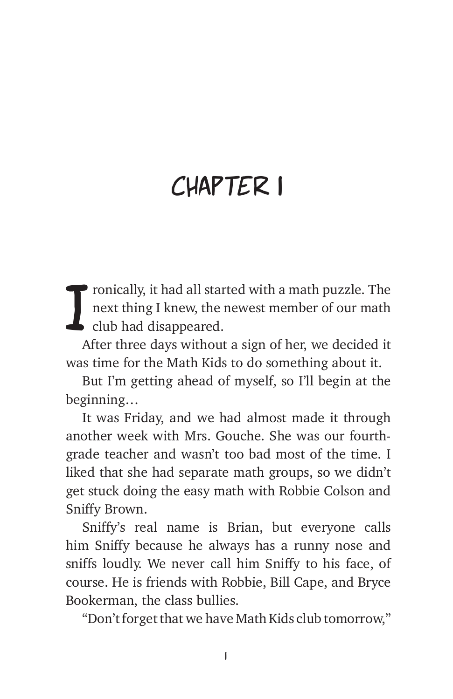## Chapter 1

I ronically, it had all started with a math puzzle. The next thing I knew, the newest member of our math club had disappeared.

After three days without a sign of her, we decided it was time for the Math Kids to do something about it.

But I'm getting ahead of myself, so I'll begin at the beginning…

It was Friday, and we had almost made it through another week with Mrs. Gouche. She was our fourthgrade teacher and wasn't too bad most of the time. I liked that she had separate math groups, so we didn't get stuck doing the easy math with Robbie Colson and Sniffy Brown.

Sniffy's real name is Brian, but everyone calls him Sniffy because he always has a runny nose and sniffs loudly. We never call him Sniffy to his face, of course. He is friends with Robbie, Bill Cape, and Bryce Bookerman, the class bullies.

"Don't forget that we have Math Kids club tomorrow,"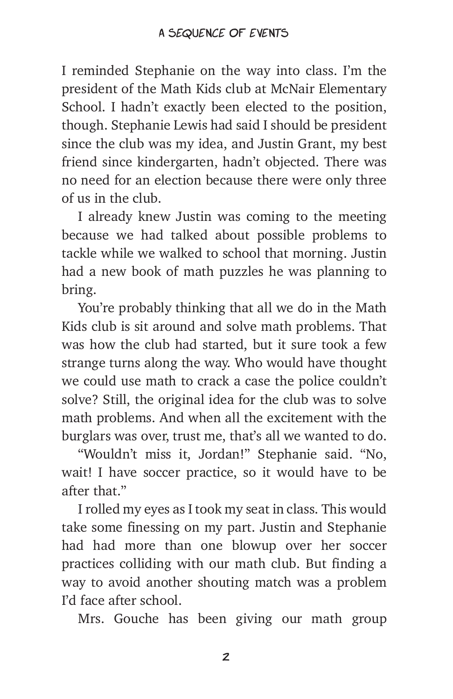I reminded Stephanie on the way into class. I'm the president of the Math Kids club at McNair Elementary School. I hadn't exactly been elected to the position, though. Stephanie Lewis had said I should be president since the club was my idea, and Justin Grant, my best friend since kindergarten, hadn't objected. There was no need for an election because there were only three of us in the club.

I already knew Justin was coming to the meeting because we had talked about possible problems to tackle while we walked to school that morning. Justin had a new book of math puzzles he was planning to bring.

You're probably thinking that all we do in the Math Kids club is sit around and solve math problems. That was how the club had started, but it sure took a few strange turns along the way. Who would have thought we could use math to crack a case the police couldn't solve? Still, the original idea for the club was to solve math problems. And when all the excitement with the burglars was over, trust me, that's all we wanted to do.

"Wouldn't miss it, Jordan!" Stephanie said. "No, wait! I have soccer practice, so it would have to be after that."

I rolled my eyes as I took my seat in class. This would take some finessing on my part. Justin and Stephanie had had more than one blowup over her soccer practices colliding with our math club. But finding a way to avoid another shouting match was a problem I'd face after school.

Mrs. Gouche has been giving our math group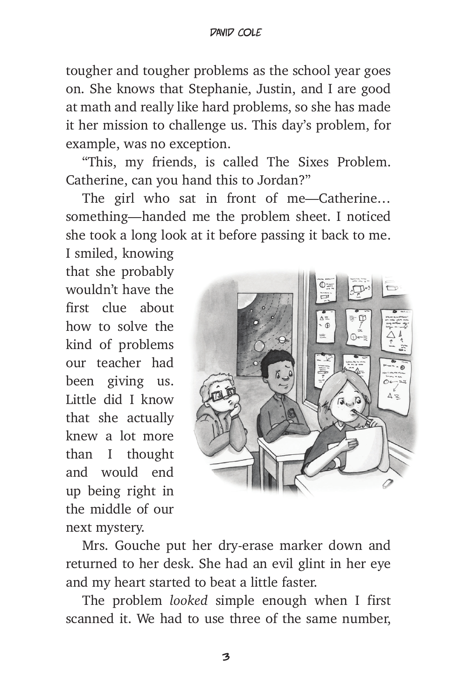tougher and tougher problems as the school year goes on. She knows that Stephanie, Justin, and I are good at math and really like hard problems, so she has made it her mission to challenge us. This day's problem, for example, was no exception.

"This, my friends, is called The Sixes Problem. Catherine, can you hand this to Jordan?"

The girl who sat in front of me—Catherine… something—handed me the problem sheet. I noticed she took a long look at it before passing it back to me.

I smiled, knowing that she probably wouldn't have the first clue about how to solve the kind of problems our teacher had been giving us. Little did I know that she actually knew a lot more than I thought and would end up being right in the middle of our next mystery.



Mrs. Gouche put her dry-erase marker down and returned to her desk. She had an evil glint in her eye and my heart started to beat a little faster.

The problem *looked* simple enough when I first scanned it. We had to use three of the same number,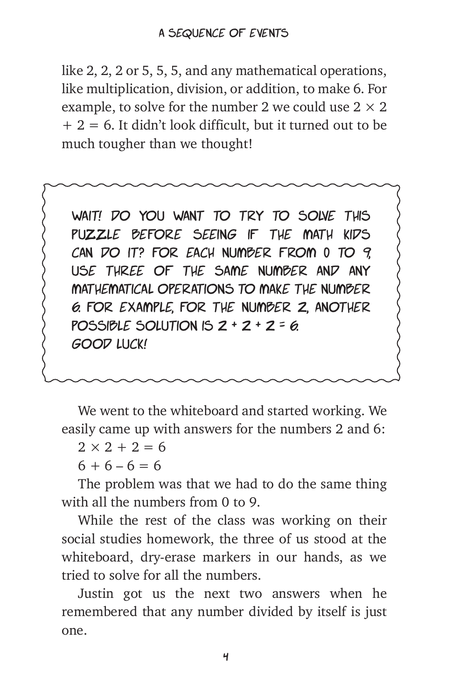like 2, 2, 2 or 5, 5, 5, and any mathematical operations, like multiplication, division, or addition, to make 6. For example, to solve for the number 2 we could use  $2 \times 2$  $+ 2 = 6$ . It didn't look difficult, but it turned out to be much tougher than we thought!

WAIT! DO YOU WANT TO TRY TO SOLVE THIS puzzle before seeing if the Math Kids can do it? For each number from 0 to 9, use three of the same number and any mathematical operations to make the number 6. For example, for the number 2, another POSSIBLE SOLUTION IS  $2 + 2 + 2 = 6$ . Good luck!

We went to the whiteboard and started working. We easily came up with answers for the numbers 2 and 6:

 $2 \times 2 + 2 = 6$ 

 $6 + 6 - 6 = 6$ 

The problem was that we had to do the same thing with all the numbers from 0 to 9.

While the rest of the class was working on their social studies homework, the three of us stood at the whiteboard, dry-erase markers in our hands, as we tried to solve for all the numbers.

Justin got us the next two answers when he remembered that any number divided by itself is just one.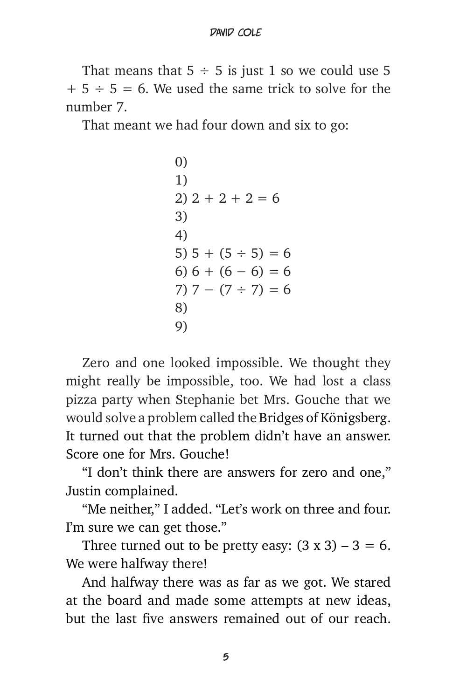That means that  $5 \div 5$  is just 1 so we could use 5  $+ 5 \div 5 = 6$ . We used the same trick to solve for the number 7.

That meant we had four down and six to go:

```
0)
1)
2) 2 + 2 + 2 = 6
3)
4)
5) 5 + (5 \div 5) = 66) 6 + (6 - 6) = 67) 7 - (7 \div 7) = 68)
9)
```
Zero and one looked impossible. We thought they might really be impossible, too. We had lost a class pizza party when Stephanie bet Mrs. Gouche that we would solve a problem called the Bridges of Königsberg. It turned out that the problem didn't have an answer. Score one for Mrs. Gouche!

"I don't think there are answers for zero and one," Justin complained.

"Me neither," I added. "Let's work on three and four. I'm sure we can get those."

Three turned out to be pretty easy:  $(3 \times 3) - 3 = 6$ . We were halfway there!

And halfway there was as far as we got. We stared at the board and made some attempts at new ideas, but the last five answers remained out of our reach.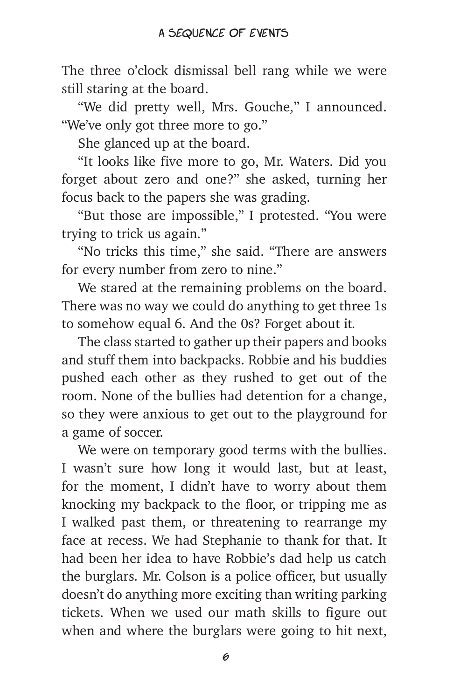The three o'clock dismissal bell rang while we were still staring at the board.

"We did pretty well, Mrs. Gouche," I announced. "We've only got three more to go."

She glanced up at the board.

"It looks like five more to go, Mr. Waters. Did you forget about zero and one?" she asked, turning her focus back to the papers she was grading.

"But those are impossible," I protested. "You were trying to trick us again."

"No tricks this time," she said. "There are answers for every number from zero to nine."

We stared at the remaining problems on the board. There was no way we could do anything to get three 1s to somehow equal 6. And the 0s? Forget about it*.*

The class started to gather up their papers and books and stuff them into backpacks. Robbie and his buddies pushed each other as they rushed to get out of the room. None of the bullies had detention for a change, so they were anxious to get out to the playground for a game of soccer.

We were on temporary good terms with the bullies. I wasn't sure how long it would last, but at least, for the moment, I didn't have to worry about them knocking my backpack to the floor, or tripping me as I walked past them, or threatening to rearrange my face at recess. We had Stephanie to thank for that. It had been her idea to have Robbie's dad help us catch the burglars. Mr. Colson is a police officer, but usually doesn't do anything more exciting than writing parking tickets. When we used our math skills to figure out when and where the burglars were going to hit next,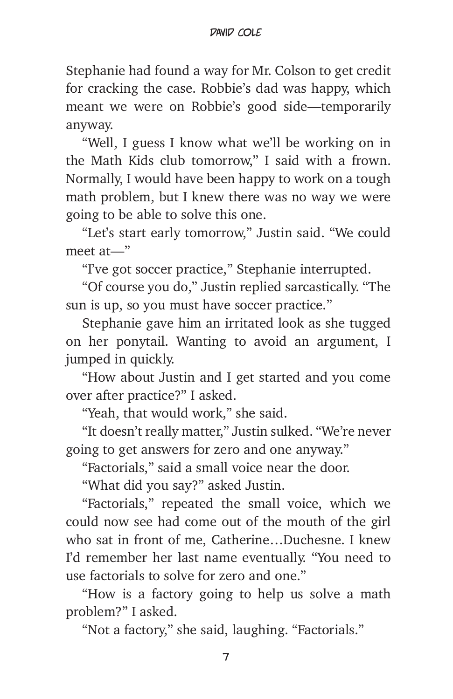## David Cole

Stephanie had found a way for Mr. Colson to get credit for cracking the case. Robbie's dad was happy, which meant we were on Robbie's good side—temporarily anyway.

"Well, I guess I know what we'll be working on in the Math Kids club tomorrow," I said with a frown. Normally, I would have been happy to work on a tough math problem, but I knew there was no way we were going to be able to solve this one.

"Let's start early tomorrow," Justin said. "We could meet at—"

"I've got soccer practice," Stephanie interrupted.

"Of course you do," Justin replied sarcastically. "The sun is up, so you must have soccer practice."

Stephanie gave him an irritated look as she tugged on her ponytail. Wanting to avoid an argument, I jumped in quickly.

"How about Justin and I get started and you come over after practice?" I asked.

"Yeah, that would work," she said.

"It doesn't really matter," Justin sulked. "We're never going to get answers for zero and one anyway."

"Factorials," said a small voice near the door.

"What did you say?" asked Justin.

"Factorials," repeated the small voice, which we could now see had come out of the mouth of the girl who sat in front of me, Catherine…Duchesne. I knew I'd remember her last name eventually. "You need to use factorials to solve for zero and one."

"How is a factory going to help us solve a math problem?" I asked.

"Not a factory," she said, laughing. "Factorials."